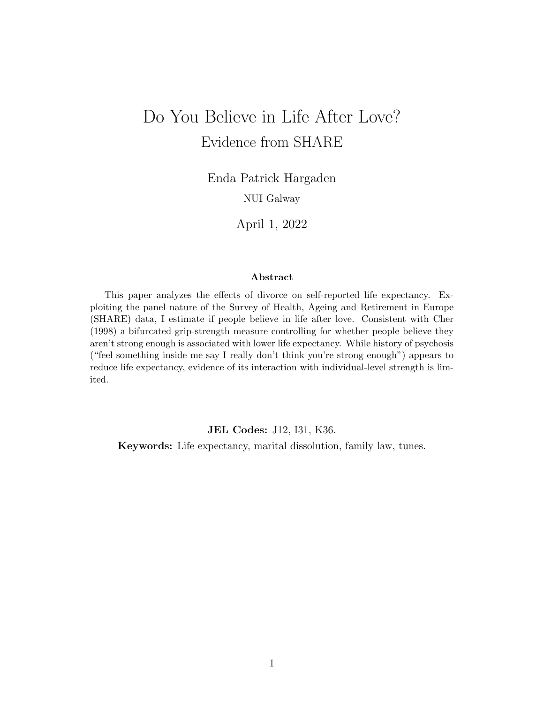# Do You Believe in Life After Love? Evidence from SHARE

Enda Patrick Hargaden

NUI Galway

April 1, 2022

#### Abstract

This paper analyzes the effects of divorce on self-reported life expectancy. Exploiting the panel nature of the Survey of Health, Ageing and Retirement in Europe (SHARE) data, I estimate if people believe in life after love. Consistent with Cher (1998) a bifurcated grip-strength measure controlling for whether people believe they aren't strong enough is associated with lower life expectancy. While history of psychosis ("feel something inside me say I really don't think you're strong enough") appears to reduce life expectancy, evidence of its interaction with individual-level strength is limited.

JEL Codes: J12, I31, K36.

Keywords: Life expectancy, marital dissolution, family law, tunes.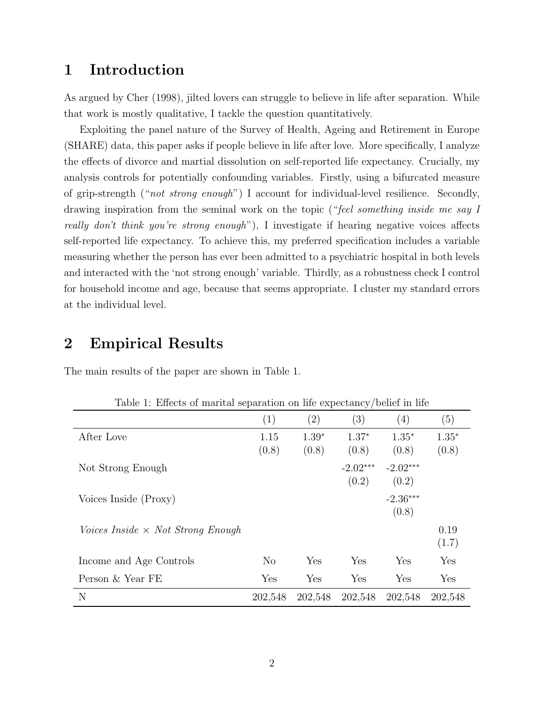# 1 Introduction

As argued by Cher (1998), jilted lovers can struggle to believe in life after separation. While that work is mostly qualitative, I tackle the question quantitatively.

Exploiting the panel nature of the Survey of Health, Ageing and Retirement in Europe (SHARE) data, this paper asks if people believe in life after love. More specifically, I analyze the effects of divorce and martial dissolution on self-reported life expectancy. Crucially, my analysis controls for potentially confounding variables. Firstly, using a bifurcated measure of grip-strength ("not strong enough") I account for individual-level resilience. Secondly, drawing inspiration from the seminal work on the topic ("feel something inside me say I really don't think you're strong enough"), I investigate if hearing negative voices affects self-reported life expectancy. To achieve this, my preferred specification includes a variable measuring whether the person has ever been admitted to a psychiatric hospital in both levels and interacted with the 'not strong enough' variable. Thirdly, as a robustness check I control for household income and age, because that seems appropriate. I cluster my standard errors at the individual level.

#### 2 Empirical Results

| Table 1: Effects of marital separation on life expectancy/belief in life |          |         |            |            |         |
|--------------------------------------------------------------------------|----------|---------|------------|------------|---------|
|                                                                          | (1)      | (2)     | (3)        | (4)        | (5)     |
| After Love                                                               | 1.15     | $1.39*$ | $1.37*$    | $1.35*$    | $1.35*$ |
|                                                                          | (0.8)    | (0.8)   | (0.8)      | (0.8)      | (0.8)   |
| Not Strong Enough                                                        |          |         | $-2.02***$ | $-2.02***$ |         |
|                                                                          |          |         | (0.2)      | (0.2)      |         |
| Voices Inside (Proxy)                                                    |          |         |            | $-2.36***$ |         |
|                                                                          |          |         |            | (0.8)      |         |
| <i>Voices Inside</i> $\times$ <i>Not Strong Enough</i>                   |          |         |            |            | 0.19    |
|                                                                          |          |         |            |            | (1.7)   |
| Income and Age Controls                                                  | $\rm No$ | Yes     | Yes        | Yes        | Yes     |
| Person & Year FE                                                         | Yes      | Yes     | Yes        | Yes        | Yes     |
| N                                                                        | 202,548  | 202,548 | 202,548    | 202,548    | 202,548 |

The main results of the paper are shown in Table 1.

Table 1: Effects of marital separation on life expectancy/belief in life